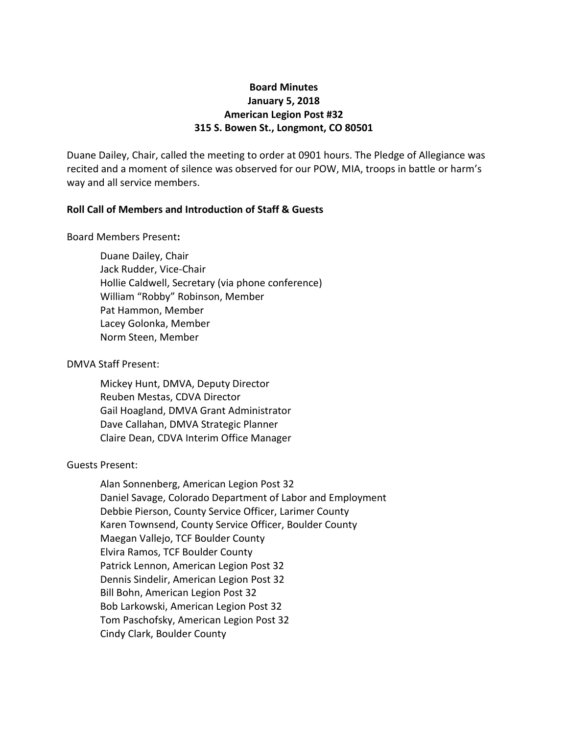# **Board Minutes January 5, 2018 American Legion Post #32 315 S. Bowen St., Longmont, CO 80501**

Duane Dailey, Chair, called the meeting to order at 0901 hours. The Pledge of Allegiance was recited and a moment of silence was observed for our POW, MIA, troops in battle or harm's way and all service members.

## **Roll Call of Members and Introduction of Staff & Guests**

### Board Members Present**:**

Duane Dailey, Chair Jack Rudder, Vice-Chair Hollie Caldwell, Secretary (via phone conference) William "Robby" Robinson, Member Pat Hammon, Member Lacey Golonka, Member Norm Steen, Member

### DMVA Staff Present:

Mickey Hunt, DMVA, Deputy Director Reuben Mestas, CDVA Director Gail Hoagland, DMVA Grant Administrator Dave Callahan, DMVA Strategic Planner Claire Dean, CDVA Interim Office Manager

## Guests Present:

Alan Sonnenberg, American Legion Post 32 Daniel Savage, Colorado Department of Labor and Employment Debbie Pierson, County Service Officer, Larimer County Karen Townsend, County Service Officer, Boulder County Maegan Vallejo, TCF Boulder County Elvira Ramos, TCF Boulder County Patrick Lennon, American Legion Post 32 Dennis Sindelir, American Legion Post 32 Bill Bohn, American Legion Post 32 Bob Larkowski, American Legion Post 32 Tom Paschofsky, American Legion Post 32 Cindy Clark, Boulder County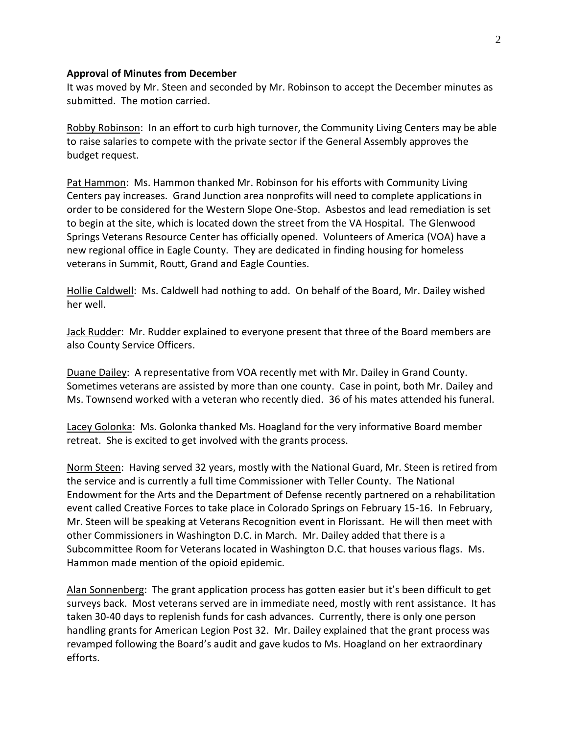#### **Approval of Minutes from December**

It was moved by Mr. Steen and seconded by Mr. Robinson to accept the December minutes as submitted. The motion carried.

Robby Robinson: In an effort to curb high turnover, the Community Living Centers may be able to raise salaries to compete with the private sector if the General Assembly approves the budget request.

Pat Hammon: Ms. Hammon thanked Mr. Robinson for his efforts with Community Living Centers pay increases. Grand Junction area nonprofits will need to complete applications in order to be considered for the Western Slope One-Stop. Asbestos and lead remediation is set to begin at the site, which is located down the street from the VA Hospital. The Glenwood Springs Veterans Resource Center has officially opened. Volunteers of America (VOA) have a new regional office in Eagle County. They are dedicated in finding housing for homeless veterans in Summit, Routt, Grand and Eagle Counties.

Hollie Caldwell: Ms. Caldwell had nothing to add. On behalf of the Board, Mr. Dailey wished her well.

Jack Rudder: Mr. Rudder explained to everyone present that three of the Board members are also County Service Officers.

Duane Dailey: A representative from VOA recently met with Mr. Dailey in Grand County. Sometimes veterans are assisted by more than one county. Case in point, both Mr. Dailey and Ms. Townsend worked with a veteran who recently died. 36 of his mates attended his funeral.

Lacey Golonka: Ms. Golonka thanked Ms. Hoagland for the very informative Board member retreat. She is excited to get involved with the grants process.

Norm Steen: Having served 32 years, mostly with the National Guard, Mr. Steen is retired from the service and is currently a full time Commissioner with Teller County. The National Endowment for the Arts and the Department of Defense recently partnered on a rehabilitation event called Creative Forces to take place in Colorado Springs on February 15-16. In February, Mr. Steen will be speaking at Veterans Recognition event in Florissant. He will then meet with other Commissioners in Washington D.C. in March. Mr. Dailey added that there is a Subcommittee Room for Veterans located in Washington D.C. that houses various flags. Ms. Hammon made mention of the opioid epidemic.

Alan Sonnenberg: The grant application process has gotten easier but it's been difficult to get surveys back. Most veterans served are in immediate need, mostly with rent assistance. It has taken 30-40 days to replenish funds for cash advances. Currently, there is only one person handling grants for American Legion Post 32. Mr. Dailey explained that the grant process was revamped following the Board's audit and gave kudos to Ms. Hoagland on her extraordinary efforts.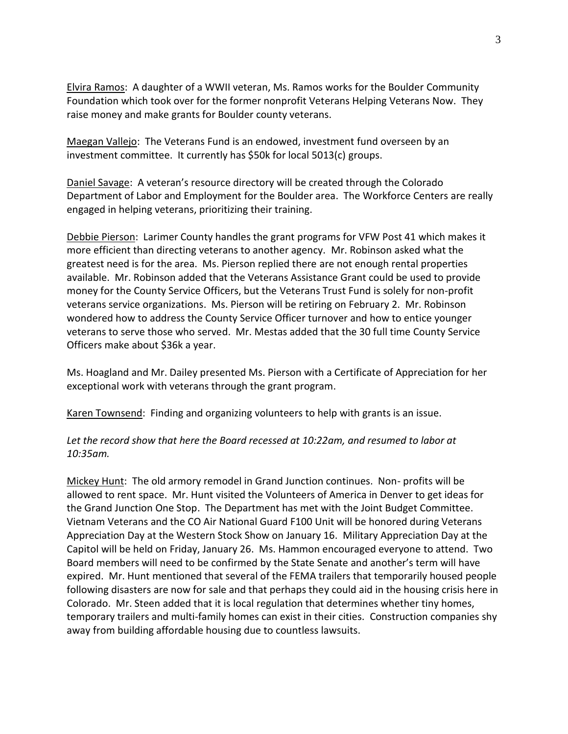Elvira Ramos: A daughter of a WWII veteran, Ms. Ramos works for the Boulder Community Foundation which took over for the former nonprofit Veterans Helping Veterans Now. They raise money and make grants for Boulder county veterans.

Maegan Vallejo: The Veterans Fund is an endowed, investment fund overseen by an investment committee. It currently has \$50k for local 5013(c) groups.

Daniel Savage: A veteran's resource directory will be created through the Colorado Department of Labor and Employment for the Boulder area. The Workforce Centers are really engaged in helping veterans, prioritizing their training.

Debbie Pierson: Larimer County handles the grant programs for VFW Post 41 which makes it more efficient than directing veterans to another agency. Mr. Robinson asked what the greatest need is for the area. Ms. Pierson replied there are not enough rental properties available. Mr. Robinson added that the Veterans Assistance Grant could be used to provide money for the County Service Officers, but the Veterans Trust Fund is solely for non-profit veterans service organizations. Ms. Pierson will be retiring on February 2. Mr. Robinson wondered how to address the County Service Officer turnover and how to entice younger veterans to serve those who served. Mr. Mestas added that the 30 full time County Service Officers make about \$36k a year.

Ms. Hoagland and Mr. Dailey presented Ms. Pierson with a Certificate of Appreciation for her exceptional work with veterans through the grant program.

Karen Townsend: Finding and organizing volunteers to help with grants is an issue.

# *Let the record show that here the Board recessed at 10:22am, and resumed to labor at 10:35am.*

Mickey Hunt: The old armory remodel in Grand Junction continues. Non- profits will be allowed to rent space. Mr. Hunt visited the Volunteers of America in Denver to get ideas for the Grand Junction One Stop. The Department has met with the Joint Budget Committee. Vietnam Veterans and the CO Air National Guard F100 Unit will be honored during Veterans Appreciation Day at the Western Stock Show on January 16. Military Appreciation Day at the Capitol will be held on Friday, January 26. Ms. Hammon encouraged everyone to attend. Two Board members will need to be confirmed by the State Senate and another's term will have expired. Mr. Hunt mentioned that several of the FEMA trailers that temporarily housed people following disasters are now for sale and that perhaps they could aid in the housing crisis here in Colorado. Mr. Steen added that it is local regulation that determines whether tiny homes, temporary trailers and multi-family homes can exist in their cities. Construction companies shy away from building affordable housing due to countless lawsuits.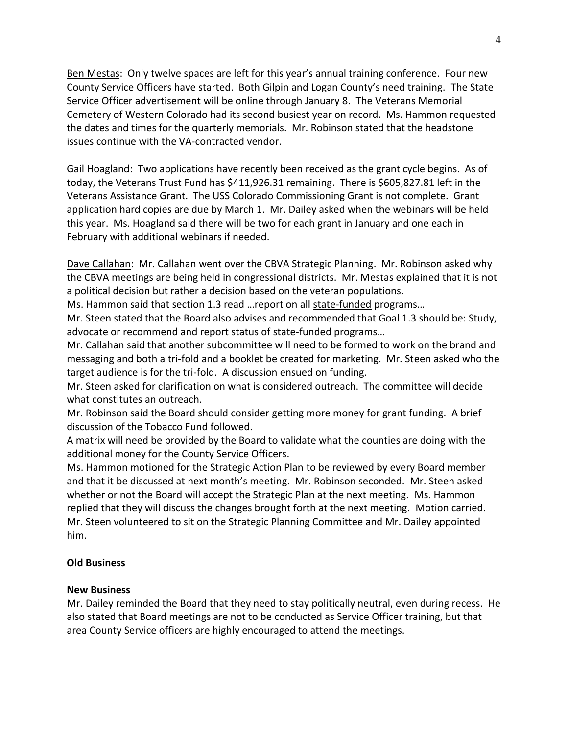Ben Mestas: Only twelve spaces are left for this year's annual training conference. Four new County Service Officers have started. Both Gilpin and Logan County's need training. The State Service Officer advertisement will be online through January 8. The Veterans Memorial Cemetery of Western Colorado had its second busiest year on record. Ms. Hammon requested the dates and times for the quarterly memorials. Mr. Robinson stated that the headstone issues continue with the VA-contracted vendor.

Gail Hoagland: Two applications have recently been received as the grant cycle begins. As of today, the Veterans Trust Fund has \$411,926.31 remaining. There is \$605,827.81 left in the Veterans Assistance Grant. The USS Colorado Commissioning Grant is not complete. Grant application hard copies are due by March 1. Mr. Dailey asked when the webinars will be held this year. Ms. Hoagland said there will be two for each grant in January and one each in February with additional webinars if needed.

Dave Callahan: Mr. Callahan went over the CBVA Strategic Planning. Mr. Robinson asked why the CBVA meetings are being held in congressional districts. Mr. Mestas explained that it is not a political decision but rather a decision based on the veteran populations.

Ms. Hammon said that section 1.3 read …report on all state-funded programs…

Mr. Steen stated that the Board also advises and recommended that Goal 1.3 should be: Study, advocate or recommend and report status of state-funded programs…

Mr. Callahan said that another subcommittee will need to be formed to work on the brand and messaging and both a tri-fold and a booklet be created for marketing. Mr. Steen asked who the target audience is for the tri-fold. A discussion ensued on funding.

Mr. Steen asked for clarification on what is considered outreach. The committee will decide what constitutes an outreach.

Mr. Robinson said the Board should consider getting more money for grant funding. A brief discussion of the Tobacco Fund followed.

A matrix will need be provided by the Board to validate what the counties are doing with the additional money for the County Service Officers.

Ms. Hammon motioned for the Strategic Action Plan to be reviewed by every Board member and that it be discussed at next month's meeting. Mr. Robinson seconded. Mr. Steen asked whether or not the Board will accept the Strategic Plan at the next meeting. Ms. Hammon replied that they will discuss the changes brought forth at the next meeting. Motion carried. Mr. Steen volunteered to sit on the Strategic Planning Committee and Mr. Dailey appointed him.

## **Old Business**

### **New Business**

Mr. Dailey reminded the Board that they need to stay politically neutral, even during recess. He also stated that Board meetings are not to be conducted as Service Officer training, but that area County Service officers are highly encouraged to attend the meetings.